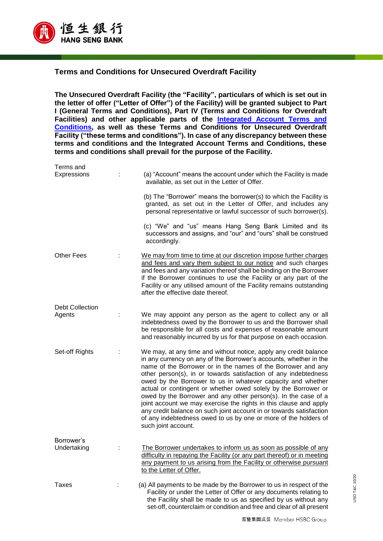

## **Terms and Conditions for Unsecured Overdraft Facility**

**The Unsecured Overdraft Facility (the "Facility", particulars of which is set out in the letter of offer ("Letter of Offer") of the Facility) will be granted subject to Part I (General Terms and Conditions), Part IV (Terms and Conditions for Overdraft Facilities) and other applicable parts of the [Integrated Account Terms and](https://www.hangseng.com/content/dam/hase/en_hk/personal/banking-services/pdf/ia_tnc_eng.pdf)  [Conditions,](https://www.hangseng.com/content/dam/hase/en_hk/personal/banking-services/pdf/ia_tnc_eng.pdf) as well as these Terms and Conditions for Unsecured Overdraft Facility ("these terms and conditions"). In case of any discrepancy between these terms and conditions and the Integrated Account Terms and Conditions, these terms and conditions shall prevail for the purpose of the Facility.**

| Terms and<br>Expressions  | (a) "Account" means the account under which the Facility is made                                                                                                                                                                                                                                                                                                                                                                                                                                                                                                                                                                                                                                                  |
|---------------------------|-------------------------------------------------------------------------------------------------------------------------------------------------------------------------------------------------------------------------------------------------------------------------------------------------------------------------------------------------------------------------------------------------------------------------------------------------------------------------------------------------------------------------------------------------------------------------------------------------------------------------------------------------------------------------------------------------------------------|
|                           | available, as set out in the Letter of Offer.                                                                                                                                                                                                                                                                                                                                                                                                                                                                                                                                                                                                                                                                     |
|                           | (b) The "Borrower" means the borrower(s) to which the Facility is<br>granted, as set out in the Letter of Offer, and includes any<br>personal representative or lawful successor of such borrower(s).                                                                                                                                                                                                                                                                                                                                                                                                                                                                                                             |
|                           | (c) "We" and "us" means Hang Seng Bank Limited and its<br>successors and assigns, and "our" and "ours" shall be construed<br>accordingly.                                                                                                                                                                                                                                                                                                                                                                                                                                                                                                                                                                         |
| <b>Other Fees</b>         | We may from time to time at our discretion impose further charges<br>and fees and vary them subject to our notice and such charges<br>and fees and any variation thereof shall be binding on the Borrower<br>if the Borrower continues to use the Facility or any part of the<br>Facility or any utilised amount of the Facility remains outstanding<br>after the effective date thereof.                                                                                                                                                                                                                                                                                                                         |
| <b>Debt Collection</b>    |                                                                                                                                                                                                                                                                                                                                                                                                                                                                                                                                                                                                                                                                                                                   |
| Agents                    | We may appoint any person as the agent to collect any or all<br>indebtedness owed by the Borrower to us and the Borrower shall<br>be responsible for all costs and expenses of reasonable amount<br>and reasonably incurred by us for that purpose on each occasion.                                                                                                                                                                                                                                                                                                                                                                                                                                              |
| Set-off Rights            | We may, at any time and without notice, apply any credit balance<br>in any currency on any of the Borrower's accounts, whether in the<br>name of the Borrower or in the names of the Borrower and any<br>other person(s), in or towards satisfaction of any indebtedness<br>owed by the Borrower to us in whatever capacity and whether<br>actual or contingent or whether owed solely by the Borrower or<br>owed by the Borrower and any other person(s). In the case of a<br>joint account we may exercise the rights in this clause and apply<br>any credit balance on such joint account in or towards satisfaction<br>of any indebtedness owed to us by one or more of the holders of<br>such joint account. |
| Borrower's<br>Undertaking | The Borrower undertakes to inform us as soon as possible of any<br>difficulty in repaying the Facility (or any part thereof) or in meeting<br>any payment to us arising from the Facility or otherwise pursuant<br>to the Letter of Offer.                                                                                                                                                                                                                                                                                                                                                                                                                                                                        |
| Taxes                     | (a) All payments to be made by the Borrower to us in respect of the<br>Facility or under the Letter of Offer or any documents relating to<br>the Facility shall be made to us as specified by us without any<br>set-off, counterclaim or condition and free and clear of all present                                                                                                                                                                                                                                                                                                                                                                                                                              |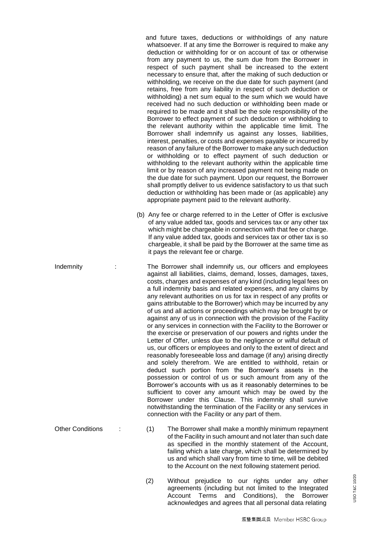and future taxes, deductions or withholdings of any nature whatsoever. If at any time the Borrower is required to make any deduction or withholding for or on account of tax or otherwise from any payment to us, the sum due from the Borrower in respect of such payment shall be increased to the extent necessary to ensure that, after the making of such deduction or withholding, we receive on the due date for such payment (and retains, free from any liability in respect of such deduction or withholding) a net sum equal to the sum which we would have received had no such deduction or withholding been made or required to be made and it shall be the sole responsibility of the Borrower to effect payment of such deduction or withholding to the relevant authority within the applicable time limit. The Borrower shall indemnify us against any losses, liabilities, interest, penalties, or costs and expenses payable or incurred by reason of any failure of the Borrower to make any such deduction or withholding or to effect payment of such deduction or withholding to the relevant authority within the applicable time limit or by reason of any increased payment not being made on the due date for such payment. Upon our request, the Borrower shall promptly deliver to us evidence satisfactory to us that such deduction or withholding has been made or (as applicable) any appropriate payment paid to the relevant authority.

- (b) Any fee or charge referred to in the Letter of Offer is exclusive of any value added tax, goods and services tax or any other tax which might be chargeable in connection with that fee or charge. If any value added tax, goods and services tax or other tax is so chargeable, it shall be paid by the Borrower at the same time as it pays the relevant fee or charge.
- Indemnity : The Borrower shall indemnify us, our officers and employees against all liabilities, claims, demand, losses, damages, taxes, costs, charges and expenses of any kind (including legal fees on a full indemnity basis and related expenses, and any claims by any relevant authorities on us for tax in respect of any profits or gains attributable to the Borrower) which may be incurred by any of us and all actions or proceedings which may be brought by or against any of us in connection with the provision of the Facility or any services in connection with the Facility to the Borrower or the exercise or preservation of our powers and rights under the Letter of Offer, unless due to the negligence or wilful default of us, our officers or employees and only to the extent of direct and reasonably foreseeable loss and damage (if any) arising directly and solely therefrom. We are entitled to withhold, retain or deduct such portion from the Borrower's assets in the possession or control of us or such amount from any of the Borrower's accounts with us as it reasonably determines to be sufficient to cover any amount which may be owed by the Borrower under this Clause. This indemnity shall survive notwithstanding the termination of the Facility or any services in connection with the Facility or any part of them.
- Other Conditions : (1) The Borrower shall make a monthly minimum repayment of the Facility in such amount and not later than such date as specified in the monthly statement of the Account, failing which a late charge, which shall be determined by us and which shall vary from time to time, will be debited to the Account on the next following statement period.
	- (2) Without prejudice to our rights under any other agreements (including but not limited to the Integrated Account Terms and Conditions), the Borrower acknowledges and agrees that all personal data relating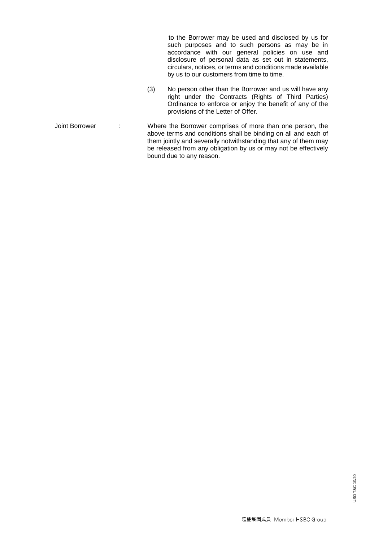to the Borrower may be used and disclosed by us for such purposes and to such persons as may be in accordance with our general policies on use and disclosure of personal data as set out in statements, circulars, notices, or terms and conditions made available by us to our customers from time to time.

(3) No person other than the Borrower and us will have any right under the Contracts (Rights of Third Parties) Ordinance to enforce or enjoy the benefit of any of the provisions of the Letter of Offer.

Joint Borrower : Where the Borrower comprises of more than one person, the above terms and conditions shall be binding on all and each of them jointly and severally notwithstanding that any of them may be released from any obligation by us or may not be effectively bound due to any reason.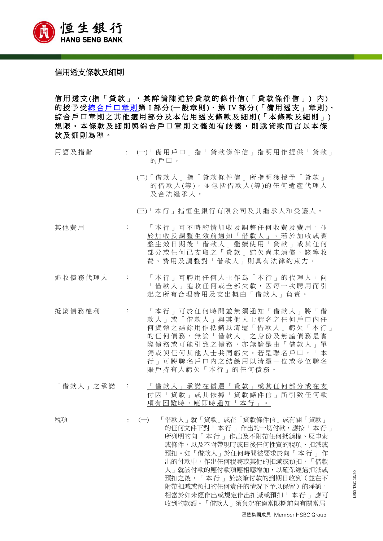

## 信用透支條款及細則

信用透支(指「貸款」,其詳情陳述於貸款的條件信(「貸款條件信」)内) 的授予受綜合戶口章則第 I 部分 (一般章則)、第 IV 部分 (「備用透支」章則)、 綜合戶口章則之其他適用部分及本信用透支條款及細則(「本條款及細則」) 規限。本條款及細則與綜合戶口章則文義如有歧義,則就貸款而言以本條 款 及 細 則 為 準 。

| 用語及措辭   |                          | : (一)「備用戶口」指「貸款條件信」指明用作提供「貸款」<br>的戶口。                                                                                                                    |
|---------|--------------------------|----------------------------------------------------------------------------------------------------------------------------------------------------------|
|         |                          | (二)「借款人」指「貸款條件信」所指明獲授予「貸款」<br>的借款人(等),並包括借款人(等)的任何遺產代理人<br>及合法繼承人。                                                                                       |
|         |                          | (三)「本行」指恒生銀行有限公司及其繼承人和受讓人。                                                                                                                               |
| 其他費用    | <b>Contractor</b>        | — 本 行 , 可 不 時 酌 情 加 收 及 調 整 任 何 收 費 及 費 用 , 並<br>於加收及調整生效前通知「借款人」。若於加收或調<br>整生效日期後「借款人」繼續使用「貸款」或其任何<br>部分或任何已支取之「貸款」結欠尚未清償,該等收<br>費、費用及調整對「借款人」則具有法律約束力。 |
| 追收債務代理人 | <b>Contract Contract</b> | 「 本行 」可聘用任何人士作為「 本行 」的代理人, 向<br>「 借 款 人 」 追 收 任 何 或 全 部 欠 款 , 因 每 一 次 聘 用 而 引<br>起之所有合理費用及支出概由「借款人」負責。                                                   |
| 抵銷債務權利  |                          | : 「本行」可於任何時間並無須通知「借款人」將「借<br>款人」或「借款人」與其他人士聯名之任何戶口內任<br>何貨幣之結餘用作抵銷以清還「借款人」虧欠「本行」                                                                         |

- 的 仕 怛 憤 務 , 無 論 「 惜 款 人 」 乙 身 份 及 無 論 憤 務 是 貫 際債務或可能引致之債務,亦無論是由「借款人」單 獨或與任何其他人士共同虧欠。若是聯名戶口, 「 本 行 」 可將聯名戶口內之結餘用以清還一位或多位聯名 賬戶持有人虧欠 「本行」 的 任何債務 。
- 「借款人」之承諾 : 「借款人」承諾在償還「貸款」或其任何部分或在支 付因「貸款」或其依據 「貸款條件信」 所引致任何款 項有困難時,應即時通知 「本行」 。

稅項 : (一) 「借款人」就「貸款」或在「貸款條件信」或有關「貸款」 的任何文件下對「本行」 作出的一切付款,應按「本行」 所列明的向「 本 行 」 作出及不附帶任何抵銷權、反申索 或條件,以及不附帶現時或日後任何性質的稅項、扣減或 預扣。如「借款人」於任何時間被要求於向「 本 行 」 作 出的付款中,作出任何稅務或其他的扣減或預扣,「借款 人」就該付款的應付款項應相應增加,以確保經過扣減或 預扣之後,「 本 行 」 於該筆付款的到期日收到(並在不 附帶扣減或預扣的任何責任的情況下予以保留)的淨額, 相當於如未經作出或規定作出扣減或預扣「 本 行 」 應可 收到的款額。「借款人」須負起在適當限期前向有關當局